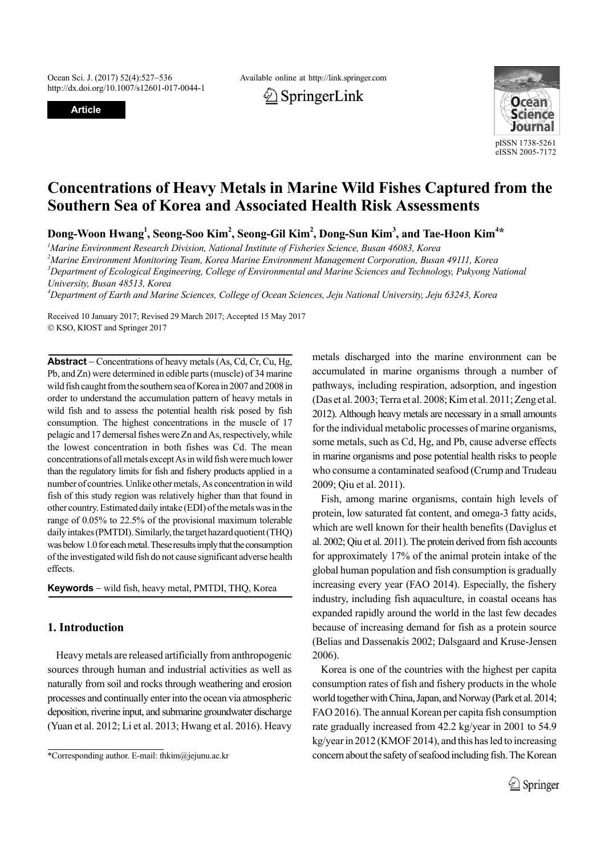http://dx.doi.org/10.1007/s12601-017-0044-1

**Article**

Ocean Sci. J. (2017) 52(4):527–536 Available online at http://link.springer.com





# **Concentrations of Heavy Metals in Marine Wild Fishes Captured from the Southern Sea of Korea and Associated Health Risk Assessments**

Dong-Woon Hwang<sup>1</sup>, Seong-Soo Kim<sup>2</sup>, Seong-Gil Kim<sup>2</sup>, Dong-Sun Kim<sup>3</sup>, and Tae-Hoon Kim<sup>4</sup>\*

 *Marine Environment Research Division, National Institute of Fisheries Science, Busan 46083, Korea Marine Environment Monitoring Team, Korea Marine Environment Management Corporation, Busan 49111, Korea Department of Ecological Engineering, College of Environmental and Marine Sciences and Technology, Pukyong National University, Busan 48513, Korea*

*4 Department of Earth and Marine Sciences, College of Ocean Sciences, Jeju National University, Jeju 63243, Korea*

Received 10 January 2017; Revised 29 March 2017; Accepted 15 May 2017 KSO, KIOST and Springer 2017

**Abstract** – Concentrations of heavy metals (As, Cd, Cr, Cu, Hg, Pb, and Zn) were determined in edible parts (muscle) of 34 marine wild fish caught from the southern sea of Korea in 2007 and 2008 in order to understand the accumulation pattern of heavy metals in wild fish and to assess the potential health risk posed by fish consumption. The highest concentrations in the muscle of 17 pelagic and 17 demersal fishes were Zn and As, respectively, while the lowest concentration in both fishes was Cd. The mean concentrations of all metals except As in wild fish were much lower than the regulatory limits for fish and fishery products applied in a number of countries. Unlike other metals, As concentration in wild fish of this study region was relatively higher than that found in other country. Estimated daily intake (EDI) of the metals was in the range of 0.05% to 22.5% of the provisional maximum tolerable daily intakes (PMTDI). Similarly, the target hazard quotient (THQ) was below 1.0 for each metal. These results imply that the consumption of the investigated wild fish do not cause significant adverse health effects.

**Keywords** – wild fish, heavy metal, PMTDI, THO, Korea

# **1. Introduction**

Heavy metals are released artificially from anthropogenic sources through human and industrial activities as well as naturally from soil and rocks through weathering and erosion processes and continually enter into the ocean via atmospheric deposition, riverine input, and submarine groundwater discharge (Yuan et al. 2012; Li et al. 2013; Hwang et al. 2016). Heavy metals discharged into the marine environment can be accumulated in marine organisms through a number of pathways, including respiration, adsorption, and ingestion (Das et al. 2003; Terra et al. 2008; Kim et al. 2011; Zeng et al. 2012). Although heavy metals are necessary in a small amounts for the individual metabolic processes of marine organisms, some metals, such as Cd, Hg, and Pb, cause adverse effects in marine organisms and pose potential health risks to people who consume a contaminated seafood (Crump and Trudeau 2009; Qiu et al. 2011).

Fish, among marine organisms, contain high levels of protein, low saturated fat content, and omega-3 fatty acids, which are well known for their health benefits (Daviglus et al. 2002; Qiu et al. 2011). The protein derived from fish accounts for approximately 17% of the animal protein intake of the global human population and fish consumption is gradually increasing every year (FAO 2014). Especially, the fishery industry, including fish aquaculture, in coastal oceans has expanded rapidly around the world in the last few decades because of increasing demand for fish as a protein source (Belias and Dassenakis 2002; Dalsgaard and Kruse-Jensen 2006).

Korea is one of the countries with the highest per capita consumption rates of fish and fishery products in the whole world together with China, Japan, and Norway (Park et al. 2014; FAO 2016). The annual Korean per capita fish consumption rate gradually increased from 42.2 kg/year in 2001 to 54.9 kg/year in 2012 (KMOF 2014), and this has led to increasing \*Corresponding author. E-mail: thkim@jejunu.ac.kr concern about the safety of seafood including fish. The Korean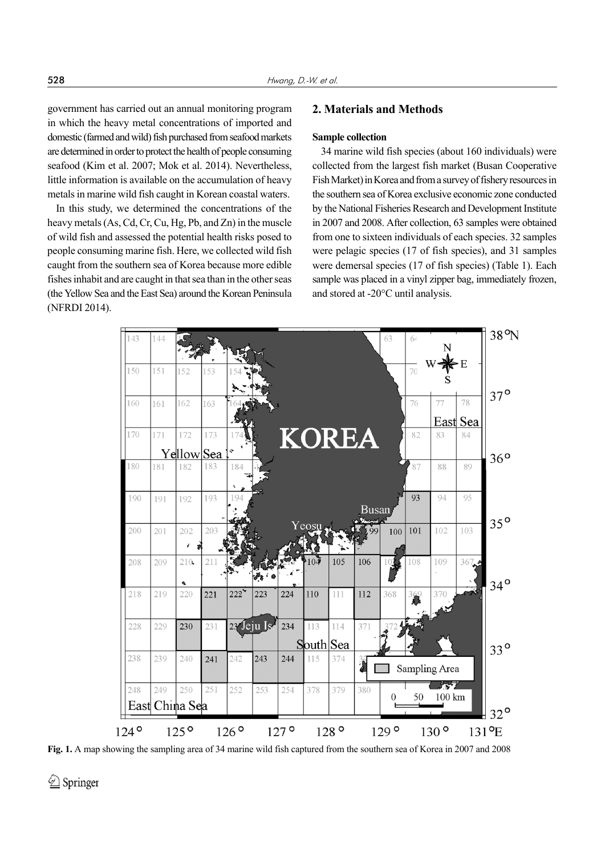government has carried out an annual monitoring program in which the heavy metal concentrations of imported and domestic (farmed and wild) fish purchased from seafood markets are determined in order to protect the health of people consuming seafood (Kim et al. 2007; Mok et al. 2014). Nevertheless, little information is available on the accumulation of heavy metals in marine wild fish caught in Korean coastal waters.

In this study, we determined the concentrations of the heavy metals (As, Cd, Cr, Cu, Hg, Pb, and Zn) in the muscle of wild fish and assessed the potential health risks posed to people consuming marine fish. Here, we collected wild fish caught from the southern sea of Korea because more edible fishes inhabit and are caught in that sea than in the other seas (the Yellow Sea and the East Sea) around the Korean Peninsula (NFRDI 2014).

# **2. Materials and Methods**

## **Sample collection**

34 marine wild fish species (about 160 individuals) were collected from the largest fish market (Busan Cooperative Fish Market) in Korea and from a survey of fishery resources in the southern sea of Korea exclusive economic zone conducted by the National Fisheries Research and Development Institute in 2007 and 2008. After collection, 63 samples were obtained from one to sixteen individuals of each species. 32 samples were pelagic species (17 of fish species), and 31 samples were demersal species (17 of fish species) (Table 1). Each sample was placed in a vinyl zipper bag, immediately frozen, and stored at -20°C until analysis.



**Fig. 1.** A map showing the sampling area of 34 marine wild fish captured from the southern sea of Korea in 2007 and 2008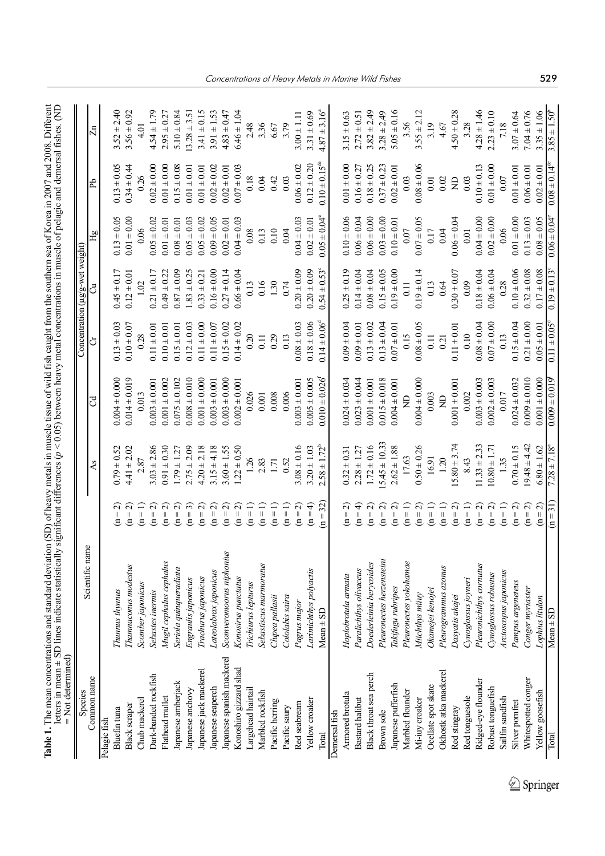| "If incomple southern sea of Korea in 2007 and 2009 Different<br>امن مام 14 انسیک<br>25.22<br>ation (SD) of heavy metale in<br>֧֖֧֖֧֦֧֧֧֪֧֧֧֧֧֧֧֧֧֧֛֪֪֦֧֧֧֧֧֧֛֪֧֧֧֚֚֚֚֚֝֝֬֝֝֬֝֓֝֬֝֬֝֬֓֝֬֝֓֝֬֝֬֝֬֝֓֝֬֝֬֝֬֝֬֝֬֝֬֝֬<br>i<br>i | Ę<br>j<br>$-1000$<br>7000000000<br>re nalamn<br>-dm --<br>o harrat ar o<br>ovin matalon<br>j<br>$\sim$ - 0.051 hotels<br>$-7 - 7 - 7$<br>i |              |
|----------------------------------------------------------------------------------------------------------------------------------------------------------------------------------------------------------------------------|--------------------------------------------------------------------------------------------------------------------------------------------|--------------|
| J<br>í                                                                                                                                                                                                                     | $\frac{1}{2}$<br>$\frac{1}{2}$<br>.<br>ו<br>$\frac{1}{2}$<br>1                                                                             | $\mathsf{I}$ |

| = Not determined)<br>Species |                           |                                           |                         |                                |                         | Concentration ( $\mu$ g/g-wet weight) |                         |                             |                         |
|------------------------------|---------------------------|-------------------------------------------|-------------------------|--------------------------------|-------------------------|---------------------------------------|-------------------------|-----------------------------|-------------------------|
| Common name                  | Scientific name           |                                           | As                      | ರ                              | ð                       | ರೆ                                    | Hg                      | <b>A</b>                    | $\overline{\Xi}$        |
| Pelagic fish                 |                           |                                           |                         |                                |                         |                                       |                         |                             |                         |
| Bluefin tuna                 | Thunnus thynnus           | $\alpha$<br>$\vert\vert$<br>Ξ             | $0.79 \pm 0.52$         | $0.004 \pm 0.000$              | $0.13 \pm 0.03$         | $0.45 \pm 0.17$                       | $0.13 \pm 0.05$         | $0.13 \pm 0.05$             | $3.52 \pm 2.40$         |
| <b>Black scraper</b>         | Thamnaconus modestus      | $\alpha$<br>$\overline{a}$                | $4.41 \pm 2.02$         | $0.014 \pm 0.019$              | $0.10 \pm 0.07$         | $0.12 \pm 0.01$                       | $0.01 \pm 0.00$         | $0.34 \pm 0.44$             | $3.56 \pm 0.92$         |
| Chub mackerel                | Scomber japonicus         | $(n=1)$                                   | 2.87                    | 0.013                          | 0.28                    | 1.02                                  | 0.06                    | 0.26                        | 4.01                    |
| Dark-banded rockfish         | Sebastes inermis          | $\widehat{\mathsf{c}}$<br>$\overline{a}$  | $3.03 \pm 2.86$         | $0.003 \pm 0.001$              | $0.11 \pm 0.01$         | $0.21 \pm 0.17$                       | $0.05 \pm 0.02$         | $0.02 \pm 0.00$             | $4.54 \pm 1.79$         |
| Flathead mullet              | Mugil cephalus cephalus   |                                           | $0.91 \pm 0.30$         | $0.001 \pm 0.002$              | $0.10 \pm 0.01$         | $0.49 \pm 0.22$                       | $0.01 \pm 0.01$         | $0.01 \pm 0.00$             | $2.95 \pm 0.27$         |
| Japanese amberjack           | Seriola quinqueradiata    | $(n = 2)$<br>$(n = 2)$                    | $1.79 \pm 1.27$         | $0.075 \pm 0.102$              | $0.15 \pm 0.01$         | $0.87 \pm 0.09$                       | $0.08 \pm 0.01$         | $0.15 \pm 0.08$             | $5.10 \pm 0.84$         |
| Japanese anchovy             | Engraulis japonicus       | ್<br>$(n =$                               | $2.75 \pm 2.09$         | $0.008 \pm 0.010$              | $0.12 \pm 0.03$         | $1.83 \pm 0.25$                       | $0.05 \pm 0.03$         | $0.01 \pm 0.01$             | $13.28 \pm 3.5$         |
| Japanese jack mackerel       | Trachurus japonicus       | $(n = 2)$                                 | $4.20 \pm 2.18$         | $0.001 \pm 0.000$              | $0.11 \pm 0.00$         | $0.33 \pm 0.21$                       | $0.05 \pm 0.02$         | $0.01 \pm 0.01$             | $3.41 \pm 0.15$         |
| Japanese seaperch            | Lateolabrax japonicus     | $(n = 2)$                                 | $3.15 \pm 4.18$         | $0.003 \pm 0.001$              | $0.11 \pm 0.07$         | $0.16 \pm 0.00$                       | $0.09 \pm 0.05$         | $0.02 \pm 0.02$             | $3.91 \pm 1.53$         |
| Japanese spanish mackerel    | Scomveromoorus niphonius  | $(n = 2)$                                 | $3.60 \pm 1.55$         | $0.003 \pm 0.000$              | $0.15 \pm 0.02$         | $0.27 \pm 0.14$                       | $0.02 \pm 0.01$         | $0.02 \pm 0.01$             | $4.83 \pm 0.47$         |
| Konoshiro gizzard shad       | Konosirus punctatus       | $(n = 2)$                                 | $1.22 \pm 0.50$         | $0.002 \pm 0.001$              | $0.14 \pm 0.02$         | $0.66 \pm 0.04$                       | $0.04 \pm 0.03$         | $0.07 \pm 0.03$             | $6.46 \pm 1.04$         |
| Largehead hairtail           | Trichiurus lepturus       | $(n=1)$                                   | 126                     | 0.026                          | 0.20                    | 0.13                                  | 0.08                    | 0.18                        | 2.48                    |
| Marbled rockfish             | Sebastiscus marmoratus    | $(n=1)$                                   | 2.83                    | 0.001                          | 0.11                    | 0.16                                  | 0.13                    | 0.04                        | 3.36                    |
| Pacific herring              | Clupea pallasii           | $(n=1)$                                   | 1.71                    | 0.008                          | 0.29                    | 1.30                                  | 0.10                    | 0.42                        | $6.67$                  |
| Pacific saury                | Cololabis saira           | $(n=1)$                                   | 0.52                    | 0.006                          | 0.13                    | 0.74                                  | 0.04                    | 0.03                        | 3.79                    |
| Red seabream                 | Pagrus major              | $(n = 2)$                                 | $3.08 \pm 0.16$         | $0.003 \pm 0.001$              | $0.08 \pm 0.03$         | $0.20 \pm 0.09$                       | $0.04 \pm 0.03$         | $0.06 \pm 0.02$             | $3.00 \pm 1.11$         |
| Yellow croaker               | Larimichthys polyactis    | $(n = 4)$                                 | $3.20 \pm 1.03$         | $0.005 \pm 0.005$              | $0.18 \pm 0.06$         | $0.20 \pm 0.09$                       | $0.02 \pm 0.01$         | $0.12 \pm 0.20$             | $3.31 \pm 0.69$         |
| Total                        | $Mean \pm SD$             | $(n=32)$                                  | $2.58 \pm 1.72^b$       | $0.010 \pm 0.026$ <sup>f</sup> | $0.14 \pm 0.06^{\circ}$ | $0.54 \pm 0.53$ °                     | $0.05 \pm 0.04^{\circ}$ | $0.10 \pm 0.15^{\text{de}}$ | $4.87 \pm 3.16^{\circ}$ |
| Demersal fish                |                           |                                           |                         |                                |                         |                                       |                         |                             |                         |
| Armored brotula              | Hoplobrotula armata       | $(n = 2)$                                 | $0.32 \pm 0.31$         | $0.024 \pm 0.034$              | $0.04 = 0.04$           | $0.25 \pm 0.19$                       | $0.10 \pm 0.06$         | $0.01 \pm 0.00$             | $3.15 \pm 0.63$         |
| Bastard halibut              | Paralichthys olivaceus    | $(n=4)$                                   | $2.28 \pm 1.27$         | $0.023 \pm 0.044$              | $0.09 \pm 0.01$         | $0.14 \pm 0.04$                       | $0.06 \pm 0.04$         | $0.16 \pm 0.27$             | $2.72 \pm 0.51$         |
| Black throat sea perch       | Doederleinia berycoides   | $(n = 2)$                                 | $1.72 \pm 0.16$         | $0.001 \pm 0.001$              | $0.13 \pm 0.02$         | $0.08 \pm 0.04$                       | $0.06 \pm 0.00$         | $0.18 \pm 0.25$             | $3.82 \pm 2.49$         |
| Brown sole                   | Pleuronectes herzensteini | $(n = 2)$                                 | $15.45 \pm 10.33$       | $0.015 \pm 0.018$              | $0.13 \pm 0.04$         | $0.15 \pm 0.05$                       | $0.03 \pm 0.00$         | $0.37 \pm 0.23$             | $3.28 \pm 2.49$         |
| Japanese pufferfish          | Takifugu rubripes         | $\widehat{\mathcal{L}}$<br>$(n =$         | $2.62 \pm 1.88$         | $0.004 \pm 0.001$              | $0.07 \pm 0.01$         | $0.19 \pm 0.00$                       | $0.10 \pm 0.01$         | $0.02 \pm 0.01$             | $5.05 \pm 0.16$         |
| Marbled flounder             | Pleuronectes yokohamae    | $(n=1)$                                   | 17.63                   | g                              | 0.15                    | 0.11                                  | $0.07$                  | 0.03                        | 3.56                    |
| Mi-iuy croaker               | Miichthys miuy            | $(n = 2)$                                 | $0.50 \pm 0.26$         | $0.004 \pm 0.000$              | $0.08 \pm 0.05$         | $0.19 \pm 0.14$                       | $0.07 \pm 0.05$         | $0.08 \pm 0.06$             | $3.55 \pm 2.12$         |
| Ocellate spot skate          | Okamejei kenojei          | $(n = 1)$                                 | 16.91                   | 0.003                          | 0.11                    | 0.13                                  | 0.17                    | 0.01                        | 3.19                    |
| Okhostk atka mackerel        | Pleurogrammus azonus      | $(n=1)$                                   | 1.20                    | $\beta$                        | 0.21                    | 0.64                                  | 0.04                    | 0.02                        | 4.67                    |
| Red stingray                 | Dasyatis akajei           | $(n = 2)$                                 | $15.80 \pm 3.74$        | $0.001 \pm 0.001$              | $0.11 \pm 0.01$         | $0.30 \pm 0.07$                       | $0.06 \pm 0.04$         | $\Xi$                       | $4.50 \pm 0.28$         |
| Red tonguesole               | Cynoglossus joyneri       | $(n = 1)$                                 | 8.43                    | 0.002                          | 0.10                    | 0.09                                  | 0.01                    | 0.03                        | 3.28                    |
| Ridged-eye flounder          | Pleuronichthys cornutus   | $\widehat{\mathcal{L}}$<br>$\overline{a}$ | $11.33 \pm 2.33$        | $0.003 \pm 0.003$              | $0.08 \pm 0.04$         | $0.18 \pm 0.04$                       | $0.04 \pm 0.00$         | $0.10 \pm 0.13$             | $4.28 \pm 1.46$         |
| Robust tonguefish            | Cynoglossus robustus      | $\widehat{\mathcal{L}}$<br>$\overline{a}$ | $10.80 \pm 1.71$        | $0.002 \pm 0.003$              | $0.07 \pm 0.00$         | $0.06 \pm 0.04$                       | $0.02 \pm 0.00$         | $0.01 \pm 0.00$             | $2.23 \pm 0.10$         |
| Sailfin sandfish             | Arctoscopus japonicus     | $(n=1)$                                   | 1.35                    | 0.017                          | 0.13                    | 0.28                                  | 0.06                    | 0.07                        | 7.18                    |
| Silver pomfret               | Pampus argeneteus         | $(n = 2)$                                 | $0.70 \pm 0.15$         | $0.024 \pm 0.032$              | $0.15 \pm 0.04$         | $0.10 \pm 0.06$                       | $0.01 \pm 0.00$         | $0.01 \pm 0.01$             | $3.07 \pm 0.64$         |
| Whitespotted conger          | Conger myriaster          | $\widehat{\mathcal{L}}$<br>$\overline{a}$ | $9.48 \pm 4.42$         | $0.009 \pm 0.010$              | $0.21 \pm 0.00$         | $0.32 \pm 0.08$                       | $0.13 \pm 0.03$         | $0.06 \pm 0.01$             | $7.04 \pm 0.76$         |
| Yellow goosefish             | Lophius litulon           | $(n = 2)$                                 | $6.80 \pm 1.62$         | $0.001 \pm 0.000$              | $0.05 \pm 0.01$         | $0.17 \pm 0.08$                       | $0.08 \pm 0.05$         | $0.02 \pm 0.01$             | $3.35 \pm 1.06$         |
| Total                        | $Mean \pm SD$             | $(n=31)$                                  | $7.28 \pm 7.18^{\circ}$ | $0.009 \pm 0.019$              | $0.11 \pm 0.05$         | $0.19 \pm 0.13$                       | $0.06 \pm 0.04$         | $0.08 \pm 0.14^{\circ}$     | $3.85 \pm 1.50$         |

 $\underline{\textcircled{\tiny 2}}$  Springer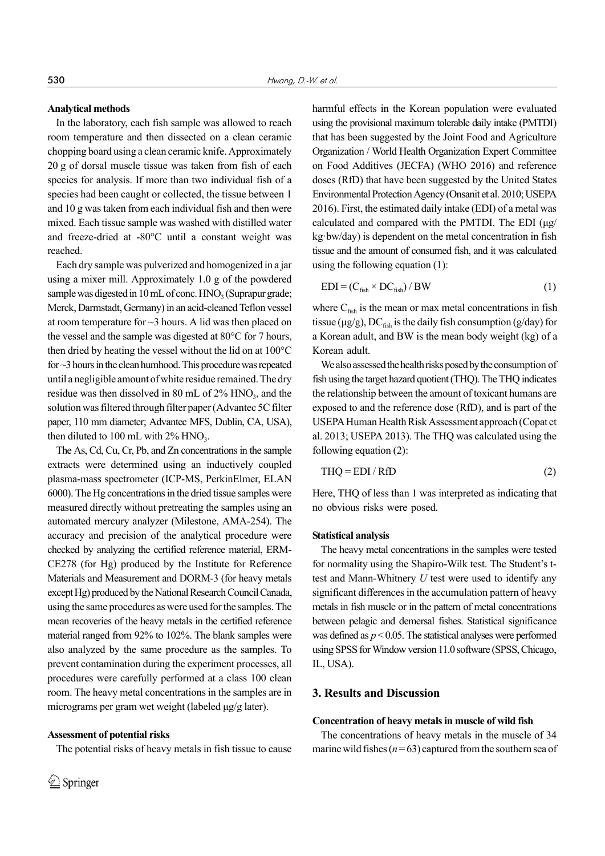#### **Analytical methods**

In the laboratory, each fish sample was allowed to reach room temperature and then dissected on a clean ceramic chopping board using a clean ceramic knife. Approximately 20 g of dorsal muscle tissue was taken from fish of each species for analysis. If more than two individual fish of a species had been caught or collected, the tissue between 1 and 10 g was taken from each individual fish and then were mixed. Each tissue sample was washed with distilled water and freeze-dried at -80°C until a constant weight was reached.

Each dry sample was pulverized and homogenized in a jar using a mixer mill. Approximately 1.0 g of the powdered sample was digested in 10 mL of conc.  $HNO<sub>3</sub>$  (Suprapur grade; Merck, Darmstadt, Germany) in an acid-cleaned Teflon vessel at room temperature for ~3 hours. A lid was then placed on the vessel and the sample was digested at 80°C for 7 hours, then dried by heating the vessel without the lid on at 100°C for ~3 hours in the clean humhood. This procedure was repeated until a negligible amount of white residue remained. The dry residue was then dissolved in 80 mL of  $2\%$  HNO<sub>3</sub>, and the solution was filtered through filter paper (Advantec 5C filter paper, 110 mm diameter; Advantec MFS, Dublin, CA, USA), then diluted to 100 mL with  $2\%$  HNO<sub>3</sub>.

The As, Cd, Cu, Cr, Pb, and Zn concentrations in the sample extracts were determined using an inductively coupled plasma-mass spectrometer (ICP-MS, PerkinElmer, ELAN 6000). The Hg concentrations in the dried tissue samples were measured directly without pretreating the samples using an automated mercury analyzer (Milestone, AMA-254). The accuracy and precision of the analytical procedure were checked by analyzing the certified reference material, ERM-CE278 (for Hg) produced by the Institute for Reference Materials and Measurement and DORM-3 (for heavy metals except Hg) produced by the National Research Council Canada, using the same procedures as were used for the samples. The mean recoveries of the heavy metals in the certified reference material ranged from 92% to 102%. The blank samples were also analyzed by the same procedure as the samples. To prevent contamination during the experiment processes, all procedures were carefully performed at a class 100 clean room. The heavy metal concentrations in the samples are in micrograms per gram wet weight (labeled μg/g later).

#### **Assessment of potential risks**

The potential risks of heavy metals in fish tissue to cause

harmful effects in the Korean population were evaluated using the provisional maximum tolerable daily intake (PMTDI) that has been suggested by the Joint Food and Agriculture Organization / World Health Organization Expert Committee on Food Additives (JECFA) (WHO 2016) and reference doses (RfD) that have been suggested by the United States Environmental Protection Agency (Onsanit et al. 2010; USEPA 2016). First, the estimated daily intake (EDI) of a metal was calculated and compared with the PMTDI. The EDI (μg/ kg·bw/day) is dependent on the metal concentration in fish tissue and the amount of consumed fish, and it was calculated using the following equation (1):

$$
EDI = (C_{fish} \times DC_{fish}) / BW
$$
 (1)

where  $C_{\text{fish}}$  is the mean or max metal concentrations in fish tissue ( $\mu$ g/g), DC<sub>fish</sub> is the daily fish consumption (g/day) for a Korean adult, and BW is the mean body weight (kg) of a Korean adult.

We also assessed the health risks posed by the consumption of fish using the target hazard quotient (THQ). The THQ indicates the relationship between the amount of toxicant humans are exposed to and the reference dose (RfD), and is part of the USEPA Human Health Risk Assessment approach (Copat et al. 2013; USEPA 2013). The THQ was calculated using the following equation (2):

$$
THQ = EDI / RfD
$$
 (2)

Here, THQ of less than 1 was interpreted as indicating that no obvious risks were posed.

#### **Statistical analysis**

The heavy metal concentrations in the samples were tested for normality using the Shapiro-Wilk test. The Student's ttest and Mann-Whitnery *U* test were used to identify any significant differences in the accumulation pattern of heavy metals in fish muscle or in the pattern of metal concentrations between pelagic and demersal fishes. Statistical significance was defined as *p* < 0.05. The statistical analyses were performed using SPSS for Window version 11.0 software (SPSS, Chicago, IL, USA).

#### **3. Results and Discussion**

#### **Concentration of heavy metals in muscle of wild fish**

The concentrations of heavy metals in the muscle of 34 marine wild fishes (*n* = 63) captured from the southern sea of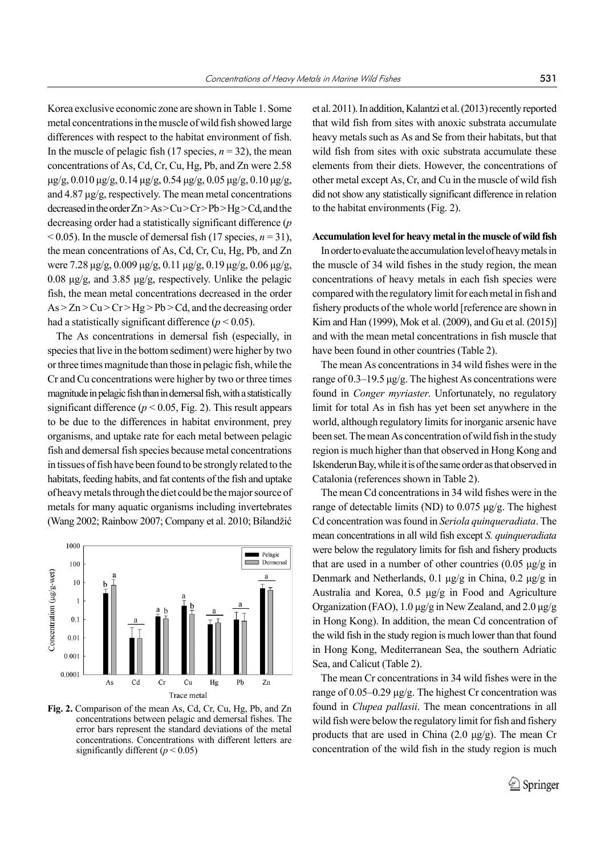Korea exclusive economic zone are shown in Table 1. Some metal concentrations in the muscle of wild fish showed large differences with respect to the habitat environment of fish. In the muscle of pelagic fish (17 species,  $n = 32$ ), the mean concentrations of As, Cd, Cr, Cu, Hg, Pb, and Zn were 2.58 μg/g, 0.010 μg/g, 0.14 μg/g, 0.54 μg/g, 0.05 μg/g, 0.10 μg/g, and 4.87 μg/g, respectively. The mean metal concentrations decreased in the order Zn > As > Cu > Cr > Pb > Hg > Cd, and the decreasing order had a statistically significant difference (*p*  $< 0.05$ ). In the muscle of demersal fish (17 species,  $n = 31$ ), the mean concentrations of As, Cd, Cr, Cu, Hg, Pb, and Zn were 7.28 μg/g, 0.009 μg/g, 0.11 μg/g, 0.19 μg/g, 0.06 μg/g, 0.08 μg/g, and 3.85 μg/g, respectively. Unlike the pelagic fish, the mean metal concentrations decreased in the order  $As > Zn > Cu > Cr > Hg > Pb > Cd$ , and the decreasing order had a statistically significant difference  $(p < 0.05)$ .

The As concentrations in demersal fish (especially, in species that live in the bottom sediment) were higher by two or three times magnitude than those in pelagic fish, while the Cr and Cu concentrations were higher by two or three times magnitude in pelagic fish than in demersal fish, with a statistically significant difference  $(p < 0.05$ . Fig. 2). This result appears to be due to the differences in habitat environment, prey organisms, and uptake rate for each metal between pelagic fish and demersal fish species because metal concentrations in tissues of fish have been found to be strongly related to the habitats, feeding habits, and fat contents of the fish and uptake of heavy metals through the diet could be the major source of metals for many aquatic organisms including invertebrates (Wang 2002; Rainbow 2007; Company et al. 2010; Bilandžić



**Fig. 2.** Comparison of the mean As, Cd, Cr, Cu, Hg, Pb, and Zn concentrations between pelagic and demersal fishes. The error bars represent the standard deviations of the metal concentrations. Concentrations with different letters are significantly different  $(p < 0.05)$ 

et al. 2011). In addition, Kalantzi et al. (2013) recently reported that wild fish from sites with anoxic substrata accumulate heavy metals such as As and Se from their habitats, but that wild fish from sites with oxic substrata accumulate these elements from their diets. However, the concentrations of other metal except As, Cr, and Cu in the muscle of wild fish did not show any statistically significant difference in relation to the habitat environments (Fig. 2).

#### **Accumulation level for heavy metal in the muscle of wild fish**

In order to evaluate the accumulation level of heavy metals in the muscle of 34 wild fishes in the study region, the mean concentrations of heavy metals in each fish species were compared with the regulatory limit for each metal in fish and fishery products of the whole world [reference are shown in Kim and Han (1999), Mok et al. (2009), and Gu et al. (2015)] and with the mean metal concentrations in fish muscle that have been found in other countries (Table 2).

The mean As concentrations in 34 wild fishes were in the range of 0.3–19.5 μg/g. The highest As concentrations were found in *Conger myriaster*. Unfortunately, no regulatory limit for total As in fish has yet been set anywhere in the world, although regulatory limits for inorganic arsenic have been set. The mean As concentration of wild fish in the study region is much higher than that observed in Hong Kong and Iskenderun Bay, while it is of the same order as that observed in Catalonia (references shown in Table 2).

The mean Cd concentrations in 34 wild fishes were in the range of detectable limits (ND) to 0.075 μg/g. The highest Cd concentration was found in *Seriola quinqueradiata*. The mean concentrations in all wild fish except *S. quinqueradiata* were below the regulatory limits for fish and fishery products that are used in a number of other countries  $(0.05 \mu g/g)$  in Denmark and Netherlands, 0.1 μg/g in China, 0.2 μg/g in Australia and Korea, 0.5 μg/g in Food and Agriculture Organization (FAO), 1.0 μg/g in New Zealand, and 2.0 μg/g in Hong Kong). In addition, the mean Cd concentration of the wild fish in the study region is much lower than that found in Hong Kong, Mediterranean Sea, the southern Adriatic Sea, and Calicut (Table 2).

The mean Cr concentrations in 34 wild fishes were in the range of 0.05–0.29 μg/g. The highest Cr concentration was found in *Clupea pallasii*. The mean concentrations in all wild fish were below the regulatory limit for fish and fishery products that are used in China (2.0 μg/g). The mean Cr concentration of the wild fish in the study region is much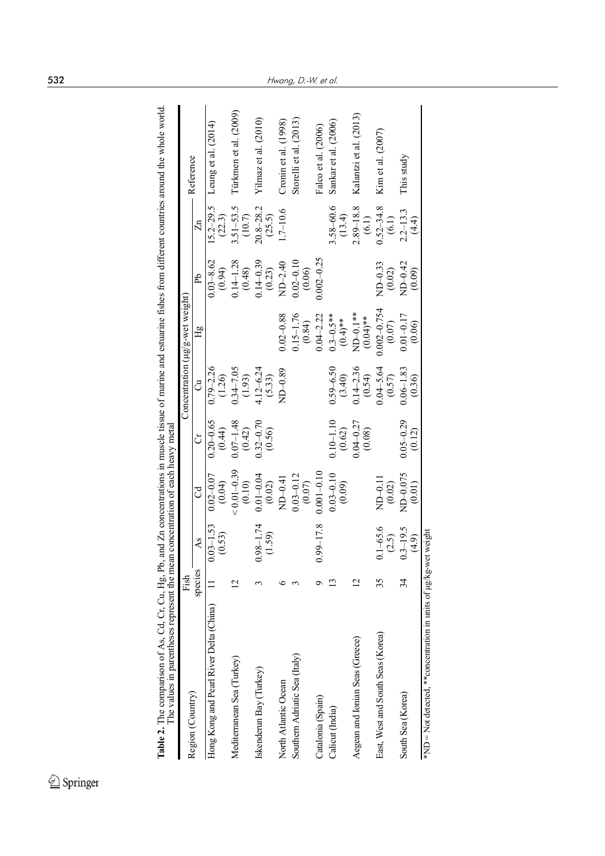| The values in parentheses represent the mear                    |                |                         | a concentration of each heavy meta |                           |                         |                                 |                            |                         |                        |
|-----------------------------------------------------------------|----------------|-------------------------|------------------------------------|---------------------------|-------------------------|---------------------------------|----------------------------|-------------------------|------------------------|
| Region (Country)                                                | Fish           |                         |                                    |                           |                         | Concentration (µg/g-wet weight) |                            |                         | Reference              |
|                                                                 | species        | As                      | ರ                                  | ð                         | ටී                      | $_{\rm Hg}$                     | Ъp                         | $\mathbb Z$             |                        |
| Hong Kong and Pearl River Delta (China)                         |                | $0.03 - 1.53$<br>(0.53) | $0.02 - 0.07$<br>(0.04)            | $0.20 - 0.65$<br>(0.44)   | $0.79 - 2.26$<br>(1.26) |                                 | $0.03 - 8.62$<br>(0.94)    | $15.2 - 29.5$<br>(22.3) | Leung et al. (2014)    |
| Mediterranean Sea (Turkey)                                      | $\overline{2}$ |                         | $0.01 - 0.39$<br>(0.10)            | $0.07 - 1.48$<br>(0.42)   | $0.34 - 7.05$<br>(1.93) |                                 | $0.14 - 1.28$<br>(0.48)    | $3.51 - 53.5$<br>(10.7) | Türkmen et al. (2009)  |
| Iskenderun Bay (Turkey)                                         |                | $0.98 - 1.74$<br>(1.59) | $0.01 - 0.04$<br>$(0.02)$          | $0.32 - 0.70$<br>$(0.56)$ | $4.12 - 6.24$<br>(5.33) |                                 | $0.14 - 0.39$<br>(0.23)    | $20.8 - 28.2$<br>(25.5) | Yilmaz et al. $(2010)$ |
| North Atlantic Ocean                                            |                |                         | ND-0.41                            |                           | $MD-0.89$               | $0.02 - 0.88$                   | ND-2.40                    | $.7 - 10.6$             | Cronin et al. $(1998)$ |
| Southern Adriatic Sea (Italy)                                   |                |                         | $0.03 - 0.12$<br>$(0.07)$          |                           |                         | $0.15 - 1.76$<br>(0.84)         | $0.02 - 0.10$<br>(0.06)    |                         | Storelli et al. (2013) |
| Catalonia (Spain)                                               |                | $0.99 - 17.8$           | $0.001 - 0.10$                     |                           |                         | $0.04 - 2.22$                   | $0.002 - 0.25$             |                         | Falco et al. (2006)    |
| Calicut (India)                                                 |                |                         | $0.03 - 0.10$<br>(0.09)            | $0.10 - 1.10$<br>(0.62)   | $0.59 - 6.50$<br>(3.40) | $0.3 - 0.5$ **<br>$(0.4)$ **    |                            | 3.58-60.6<br>(13.4)     | Sankar et al. (2006)   |
| Aegean and Ionian Seas (Greece)                                 | $\overline{c}$ |                         |                                    | $0.04 - 0.27$<br>(0.08)   | $0.14 - 2.36$<br>(0.54) | $MD-0.1**$<br>$(0.04)**$        |                            | $2.89 - 18.8$<br>(6.1)  | Kalantzi et al. (2013) |
| East, West and South Seas (Korea)                               | 35             | $0.1 - 65.6$<br>(2.5)   | $ND-0.1$<br>(0.02)                 |                           | $0.04 - 5.64$<br>(0.57) | $0.002 - 0.754$<br>(0.07)       | $N\rm{D}-0.33$<br>$(0.02)$ | $0.52 - 34.8$<br>(6.1)  | Kim et al. (2007)      |
| South Sea (Korea)                                               | 34             | $3 - 19.5$<br>(4.9)     | ND-0.075<br>(0.01)                 | $0.05 - 0.29$<br>(0.12)   | $0.06 - 1.83$<br>(0.36) | $0.01 - 0.17$<br>(0.06)         | ND-0.42<br>(0.09)          | $2.2 - 13.3$<br>(4.4)   | This study             |
| *ND = Not detected, ** concentration in units of $\mu$ g/kg-wet |                | weight                  |                                    |                           |                         |                                 |                            |                         |                        |

 $\underline{\textcircled{\tiny 2}}$  Springer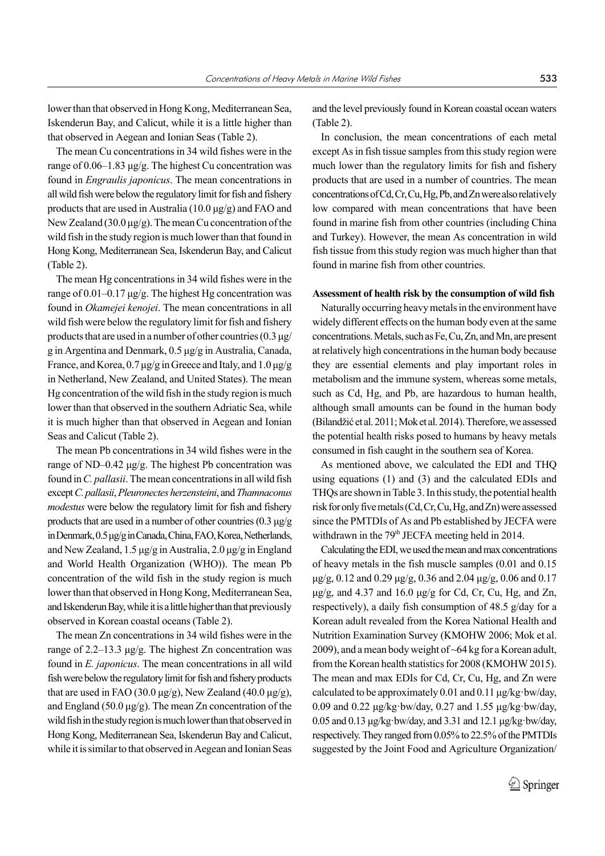lower than that observed in Hong Kong, Mediterranean Sea, Iskenderun Bay, and Calicut, while it is a little higher than that observed in Aegean and Ionian Seas (Table 2).

The mean Cu concentrations in 34 wild fishes were in the range of 0.06–1.83 μg/g. The highest Cu concentration was found in *Engraulis japonicus*. The mean concentrations in all wild fish were below the regulatory limit for fish and fishery products that are used in Australia (10.0 μg/g) and FAO and New Zealand (30.0 μg/g). The mean Cu concentration of the wild fish in the study region is much lower than that found in Hong Kong, Mediterranean Sea, Iskenderun Bay, and Calicut (Table 2).

The mean Hg concentrations in 34 wild fishes were in the range of 0.01–0.17 μg/g. The highest Hg concentration was found in *Okamejei kenojei*. The mean concentrations in all wild fish were below the regulatory limit for fish and fishery products that are used in a number of other countries  $(0.3 \mu g)$ g in Argentina and Denmark, 0.5 μg/g in Australia, Canada, France, and Korea, 0.7 μg/g in Greece and Italy, and 1.0 μg/g in Netherland, New Zealand, and United States). The mean Hg concentration of the wild fish in the study region is much lower than that observed in the southern Adriatic Sea, while it is much higher than that observed in Aegean and Ionian Seas and Calicut (Table 2).

The mean Pb concentrations in 34 wild fishes were in the range of ND–0.42 μg/g. The highest Pb concentration was found in *C. pallasii*. The mean concentrations in all wild fish except *C. pallasii*, *Pleuronectes herzensteini*, and *Thamnaconus modestus* were below the regulatory limit for fish and fishery products that are used in a number of other countries (0.3 μg/g in Denmark, 0.5 μg/g in Canada, China, FAO, Korea, Netherlands, and New Zealand, 1.5 μg/g in Australia, 2.0 μg/g in England and World Health Organization (WHO)). The mean Pb concentration of the wild fish in the study region is much lower than that observed in Hong Kong, Mediterranean Sea, and Iskenderun Bay, while it is a little higher than that previously observed in Korean coastal oceans (Table 2).

The mean Zn concentrations in 34 wild fishes were in the range of 2.2–13.3 μg/g. The highest Zn concentration was found in *E. japonicus*. The mean concentrations in all wild fish were below the regulatory limit for fish and fishery products that are used in FAO (30.0 μg/g), New Zealand (40.0 μg/g), and England (50.0 μg/g). The mean Zn concentration of the wild fish in the study region is much lower than that observed in Hong Kong, Mediterranean Sea, Iskenderun Bay and Calicut, while it is similar to that observed in Aegean and Ionian Seas

and the level previously found in Korean coastal ocean waters (Table 2).

In conclusion, the mean concentrations of each metal except As in fish tissue samples from this study region were much lower than the regulatory limits for fish and fishery products that are used in a number of countries. The mean concentrations of Cd, Cr, Cu, Hg, Pb, and Zn were also relatively low compared with mean concentrations that have been found in marine fish from other countries (including China and Turkey). However, the mean As concentration in wild fish tissue from this study region was much higher than that found in marine fish from other countries.

### **Assessment of health risk by the consumption of wild fish**

Naturally occurring heavy metals in the environment have widely different effects on the human body even at the same concentrations. Metals, such as Fe, Cu, Zn, and Mn, are present at relatively high concentrations in the human body because they are essential elements and play important roles in metabolism and the immune system, whereas some metals, such as Cd, Hg, and Pb, are hazardous to human health, although small amounts can be found in the human body (Bilandžić et al. 2011; Mok et al. 2014). Therefore, we assessed the potential health risks posed to humans by heavy metals consumed in fish caught in the southern sea of Korea.

As mentioned above, we calculated the EDI and THQ using equations (1) and (3) and the calculated EDIs and THQs are shown in Table 3. In this study, the potential health risk for only five metals (Cd, Cr, Cu, Hg, and Zn) were assessed since the PMTDIs of As and Pb established by JECFA were withdrawn in the  $79<sup>th</sup>$  JECFA meeting held in 2014.

Calculating the EDI, we used the mean and max concentrations of heavy metals in the fish muscle samples (0.01 and 0.15 μg/g, 0.12 and 0.29 μg/g, 0.36 and 2.04 μg/g, 0.06 and 0.17 μg/g, and 4.37 and 16.0 μg/g for Cd, Cr, Cu, Hg, and Zn, respectively), a daily fish consumption of 48.5 g/day for a Korean adult revealed from the Korea National Health and Nutrition Examination Survey (KMOHW 2006; Mok et al. 2009), and a mean body weight of ~64 kg for a Korean adult, from the Korean health statistics for 2008 (KMOHW 2015). The mean and max EDIs for Cd, Cr, Cu, Hg, and Zn were calculated to be approximately 0.01 and 0.11 μg/kg·bw/day, 0.09 and 0.22 μg/kg·bw/day, 0.27 and 1.55 μg/kg·bw/day, 0.05 and 0.13 μg/kg·bw/day, and 3.31 and 12.1 μg/kg·bw/day, respectively. They ranged from 0.05% to 22.5% of the PMTDIs suggested by the Joint Food and Agriculture Organization/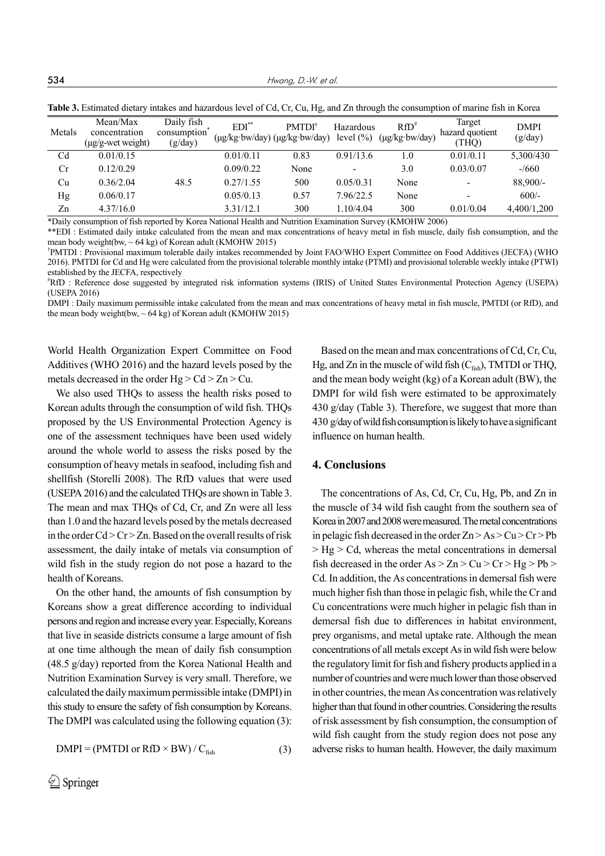**534** *Hwang, D.-W. et al.* 

| Metals | Mean/Max<br>concentration<br>(µg/g-wet weight) | Daily fish<br>consumption<br>(g/day) | $EDI^*$   | <b>PMTDI<sup>†</sup></b><br>(µg/kg·bw/day) (µg/kg·bw/day) | Hazardous<br>level $(\% )$ | $RfD^*$<br>$(\mu g/kg \cdot bw/day)$ | Target<br>hazard quotient<br>(THQ) | <b>DMPI</b><br>(g/day) |
|--------|------------------------------------------------|--------------------------------------|-----------|-----------------------------------------------------------|----------------------------|--------------------------------------|------------------------------------|------------------------|
| Cd     | 0.01/0.15                                      |                                      | 0.01/0.11 | 0.83                                                      | 0.91/13.6                  | 1.0                                  | 0.01/0.11                          | 5,300/430              |
| Cr     | 0.12/0.29                                      |                                      | 0.09/0.22 | None                                                      | $\overline{\phantom{a}}$   | 3.0                                  | 0.03/0.07                          | $-1660$                |
| Cu     | 0.36/2.04                                      | 48.5                                 | 0.27/1.55 | 500                                                       | 0.05/0.31                  | None                                 | $\overline{\phantom{0}}$           | 88,900/-               |
| Hg     | 0.06/0.17                                      |                                      | 0.05/0.13 | 0.57                                                      | 7.96/22.5                  | None                                 | ٠                                  | $600/-$                |
| Zn     | 4.37/16.0                                      |                                      | 3.31/12.1 | 300                                                       | 1.10/4.04                  | 300                                  | 0.01/0.04                          | 4,400/1,200            |

**Table 3.** Estimated dietary intakes and hazardous level of Cd, Cr, Cu, Hg, and Zn through the consumption of marine fish in Korea

\*Daily consumption of fish reported by Korea National Health and Nutrition Examination Survey (KMOHW 2006)

\*\*EDI : Estimated daily intake calculated from the mean and max concentrations of heavy metal in fish muscle, daily fish consumption, and the mean body weight(bw,  $\sim 64$  kg) of Korean adult (KMOHW 2015)

† PMTDI : Provisional maximum tolerable daily intakes recommended by Joint FAO/WHO Expert Committee on Food Additives (JECFA) (WHO 2016). PMTDI for Cd and Hg were calculated from the provisional tolerable monthly intake (PTMI) and provisional tolerable weekly intake (PTWI) established by the JECFA, respectively

# RfD : Reference dose suggested by integrated risk information systems (IRIS) of United States Environmental Protection Agency (USEPA) (USEPA 2016)

DMPI : Daily maximum permissible intake calculated from the mean and max concentrations of heavy metal in fish muscle, PMTDI (or RfD), and the mean body weight(bw,  $\sim$  64 kg) of Korean adult (KMOHW 2015)

World Health Organization Expert Committee on Food Additives (WHO 2016) and the hazard levels posed by the metals decreased in the order  $Hg > Cd > Zn > Cu$ .

We also used THQs to assess the health risks posed to Korean adults through the consumption of wild fish. THQs proposed by the US Environmental Protection Agency is one of the assessment techniques have been used widely around the whole world to assess the risks posed by the consumption of heavy metals in seafood, including fish and shellfish (Storelli 2008). The RfD values that were used (USEPA 2016) and the calculated THQs are shown in Table 3. The mean and max THQs of Cd, Cr, and Zn were all less than 1.0 and the hazard levels posed by the metals decreased in the order  $Cd > Cr > Zn$ . Based on the overall results of risk assessment, the daily intake of metals via consumption of wild fish in the study region do not pose a hazard to the health of Koreans.

On the other hand, the amounts of fish consumption by Koreans show a great difference according to individual persons and region and increase every year. Especially, Koreans that live in seaside districts consume a large amount of fish at one time although the mean of daily fish consumption (48.5 g/day) reported from the Korea National Health and Nutrition Examination Survey is very small. Therefore, we calculated the daily maximum permissible intake (DMPI) in this study to ensure the safety of fish consumption by Koreans. The DMPI was calculated using the following equation (3):

$$
DMPI = (PMTDI \text{ or } RfD \times BW) / C_{fish}
$$
 (3)

Based on the mean and max concentrations of Cd, Cr, Cu, Hg, and Zn in the muscle of wild fish  $(C_{\text{fish}})$ , TMTDI or THQ, and the mean body weight (kg) of a Korean adult (BW), the DMPI for wild fish were estimated to be approximately 430 g/day (Table 3). Therefore, we suggest that more than 430 g/day of wild fish consumption is likely to have a significant influence on human health.

## **4. Conclusions**

The concentrations of As, Cd, Cr, Cu, Hg, Pb, and Zn in the muscle of 34 wild fish caught from the southern sea of Korea in 2007 and 2008 were measured. The metal concentrations in pelagic fish decreased in the order  $Zn > As > Cu > Cr > Pb$  $>$  Hg  $>$  Cd, whereas the metal concentrations in demersal fish decreased in the order  $As > Zn > Cu > Cr > Hg > Pb >$ Cd. In addition, the As concentrations in demersal fish were much higher fish than those in pelagic fish, while the Cr and Cu concentrations were much higher in pelagic fish than in demersal fish due to differences in habitat environment, prey organisms, and metal uptake rate. Although the mean concentrations of all metals except As in wild fish were below the regulatory limit for fish and fishery products applied in a number of countries and were much lower than those observed in other countries, the mean As concentration was relatively higher than that found in other countries. Considering the results of risk assessment by fish consumption, the consumption of wild fish caught from the study region does not pose any adverse risks to human health. However, the daily maximum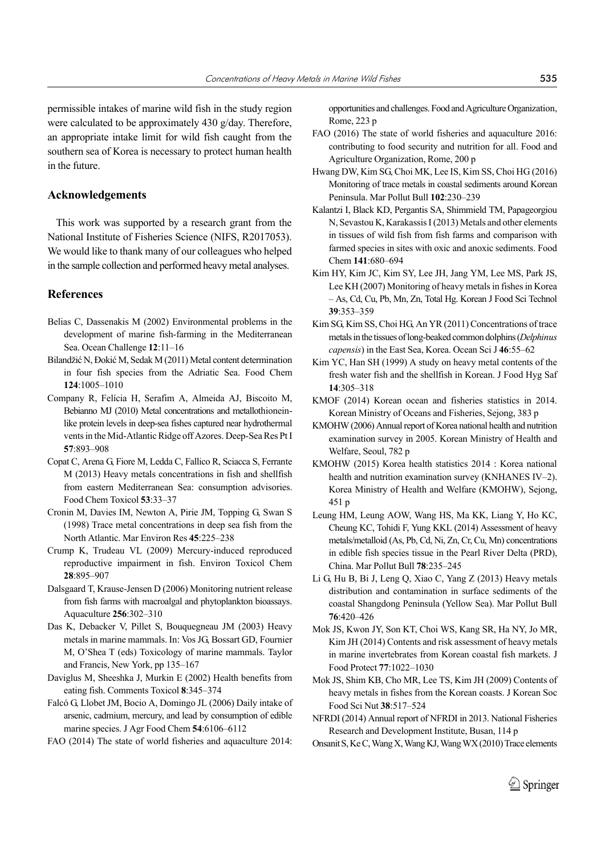permissible intakes of marine wild fish in the study region were calculated to be approximately 430 g/day. Therefore, an appropriate intake limit for wild fish caught from the southern sea of Korea is necessary to protect human health in the future.

# **Acknowledgements**

This work was supported by a research grant from the National Institute of Fisheries Science (NIFS, R2017053). We would like to thank many of our colleagues who helped in the sample collection and performed heavy metal analyses.

#### **References**

- Belias C, Dassenakis M (2002) Environmental problems in the development of marine fish-farming in the Mediterranean Sea. Ocean Challenge **12**:11–16
- Bilandžić N, Đokić M, Sedak M (2011) Metal content determination in four fish species from the Adriatic Sea. Food Chem **124**:1005–1010
- Company R, Felícia H, Serafim A, Almeida AJ, Biscoito M, Bebianno MJ (2010) Metal concentrations and metallothioneinlike protein levels in deep-sea fishes captured near hydrothermal vents in the Mid-Atlantic Ridge off Azores. Deep-Sea Res Pt I **57**:893–908
- Copat C, Arena G, Fiore M, Ledda C, Fallico R, Sciacca S, Ferrante M (2013) Heavy metals concentrations in fish and shellfish from eastern Mediterranean Sea: consumption advisories. Food Chem Toxicol **53**:33–37
- Cronin M, Davies IM, Newton A, Pirie JM, Topping G, Swan S (1998) Trace metal concentrations in deep sea fish from the North Atlantic. Mar Environ Res **45**:225–238
- Crump K, Trudeau VL (2009) Mercury-induced reproduced reproductive impairment in fish. Environ Toxicol Chem **28**:895–907
- Dalsgaard T, Krause-Jensen D (2006) Monitoring nutrient release from fish farms with macroalgal and phytoplankton bioassays. Aquaculture **256**:302–310
- Das K, Debacker V, Pillet S, Bouquegneau JM (2003) Heavy metals in marine mammals. In: Vos JG, Bossart GD, Fournier M, O'Shea T (eds) Toxicology of marine mammals. Taylor and Francis, New York, pp 135–167
- Daviglus M, Sheeshka J, Murkin E (2002) Health benefits from eating fish. Comments Toxicol **8**:345–374
- Falcó G, Llobet JM, Bocio A, Domingo JL (2006) Daily intake of arsenic, cadmium, mercury, and lead by consumption of edible marine species. J Agr Food Chem **54**:6106–6112
- FAO (2014) The state of world fisheries and aquaculture 2014:

opportunities and challenges. Food and Agriculture Organization, Rome, 223 p

- FAO (2016) The state of world fisheries and aquaculture 2016: contributing to food security and nutrition for all. Food and Agriculture Organization, Rome, 200 p
- Hwang DW, Kim SG, Choi MK, Lee IS, Kim SS, Choi HG (2016) Monitoring of trace metals in coastal sediments around Korean Peninsula. Mar Pollut Bull **102**:230–239
- Kalantzi I, Black KD, Pergantis SA, Shimmield TM, Papageorgiou N, Sevastou K, Karakassis I (2013) Metals and other elements in tissues of wild fish from fish farms and comparison with farmed species in sites with oxic and anoxic sediments. Food Chem **141**:680–694
- Kim HY, Kim JC, Kim SY, Lee JH, Jang YM, Lee MS, Park JS, Lee KH (2007) Monitoring of heavy metals in fishes in Korea – As, Cd, Cu, Pb, Mn, Zn, Total Hg. Korean J Food Sci Technol **39**:353–359
- Kim SG, Kim SS, Choi HG, An YR (2011) Concentrations of trace metals in the tissues of long-beaked common dolphins (*Delphinus capensis*) in the East Sea, Korea. Ocean Sci J **46**:55–62
- Kim YC, Han SH (1999) A study on heavy metal contents of the fresh water fish and the shellfish in Korean. J Food Hyg Saf **14**:305–318
- KMOF (2014) Korean ocean and fisheries statistics in 2014. Korean Ministry of Oceans and Fisheries, Sejong, 383 p
- KMOHW (2006) Annual report of Korea national health and nutrition examination survey in 2005. Korean Ministry of Health and Welfare, Seoul, 782 p
- KMOHW (2015) Korea health statistics 2014 : Korea national health and nutrition examination survey (KNHANES IV–2). Korea Ministry of Health and Welfare (KMOHW), Sejong, 451 p
- Leung HM, Leung AOW, Wang HS, Ma KK, Liang Y, Ho KC, Cheung KC, Tohidi F, Yung KKL (2014) Assessment of heavy metals/metalloid (As, Pb, Cd, Ni, Zn, Cr, Cu, Mn) concentrations in edible fish species tissue in the Pearl River Delta (PRD), China. Mar Pollut Bull **78**:235–245
- Li G, Hu B, Bi J, Leng Q, Xiao C, Yang Z (2013) Heavy metals distribution and contamination in surface sediments of the coastal Shangdong Peninsula (Yellow Sea). Mar Pollut Bull **76**:420–426
- Mok JS, Kwon JY, Son KT, Choi WS, Kang SR, Ha NY, Jo MR, Kim JH (2014) Contents and risk assessment of heavy metals in marine invertebrates from Korean coastal fish markets. J Food Protect **77**:1022–1030
- Mok JS, Shim KB, Cho MR, Lee TS, Kim JH (2009) Contents of heavy metals in fishes from the Korean coasts. J Korean Soc Food Sci Nut **38**:517–524
- NFRDI (2014) Annual report of NFRDI in 2013. National Fisheries Research and Development Institute, Busan, 114 p
- Onsanit S, Ke C, Wang X, Wang KJ, Wang WX (2010) Trace elements